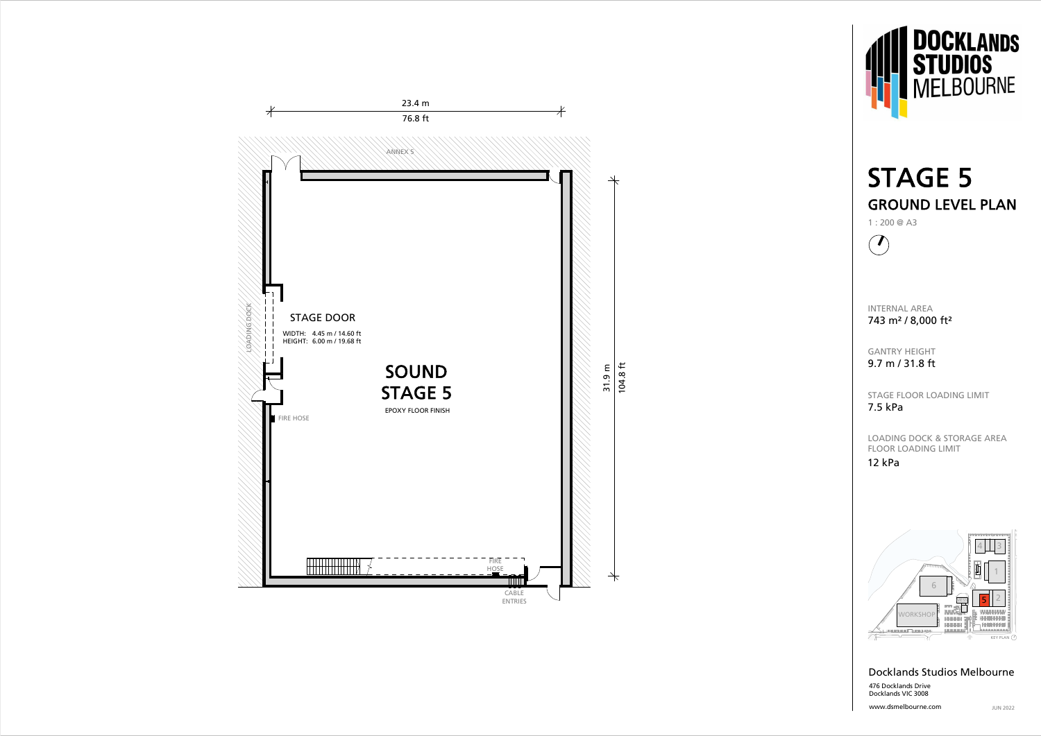





www.dsmelbourne.com



## Docklands Studios Melbourne 476 Docklands Drive Docklands VIC 3008

# STAGE 5 GROUND LEVEL PLAN

INTERNAL AREA 743 m² / 8,000 ft²

GANTRY HEIGHT 9.7 m / 31.8 ft

STAGE FLOOR LOADING LIMIT 7.5 kPa

LOADING DOCK & STORAGE AREAFLOOR LOADING LIMIT

# 12 kPa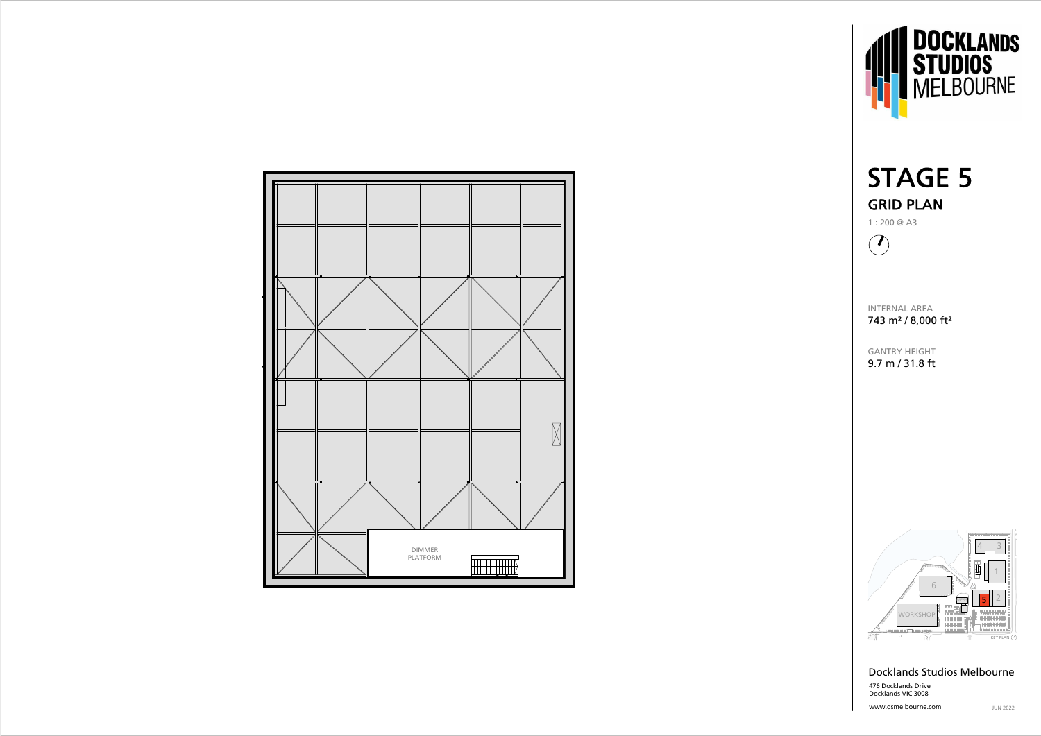





www.dsmelbourne.com





### Docklands Studios Melbourne 476 Docklands Drive Docklands VIC 3008

INTERNAL AREA 743 m² / 8,000 ft²

GANTRY HEIGHT 9.7 m / 31.8 ft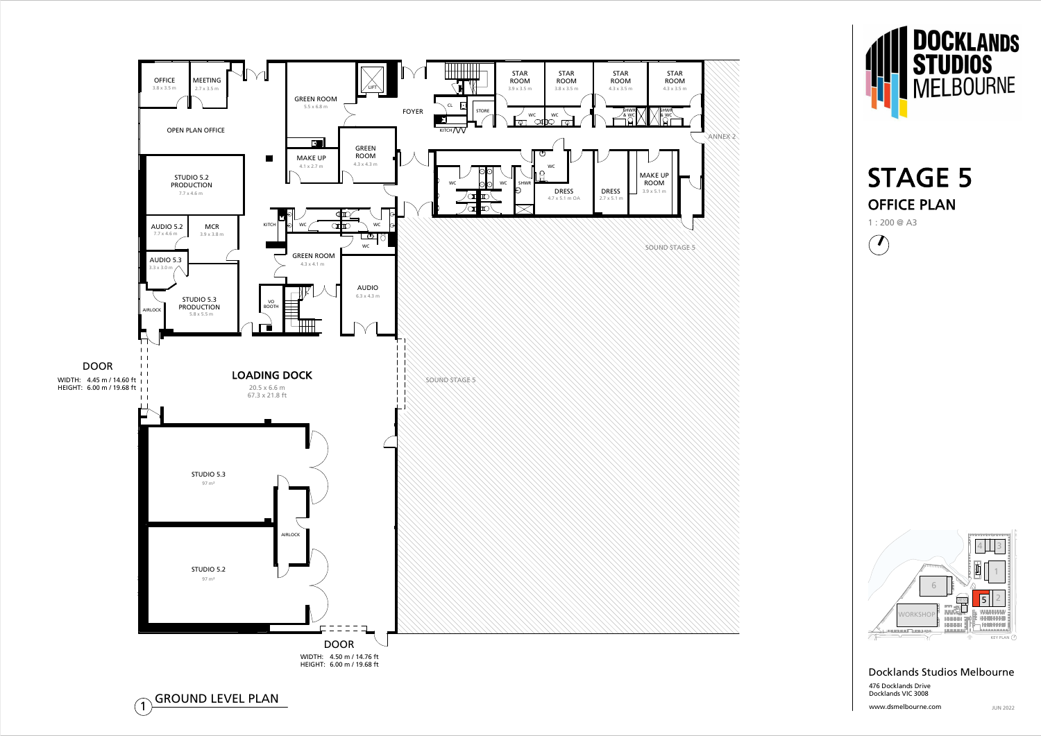





www.dsmelbourne.com





#### Docklands Studios Melbourne 476 Docklands Drive Docklands VIC 3008